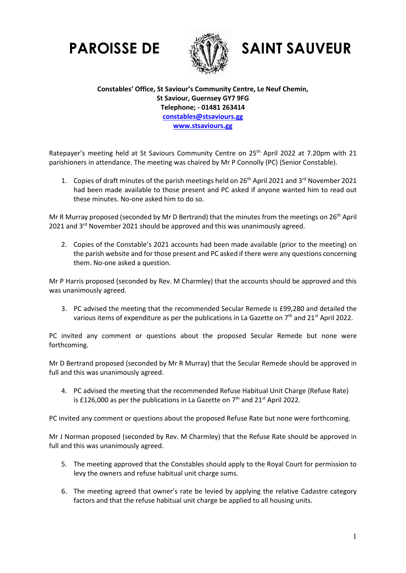

## **PAROISSE DE SAINT SAUVEUR**

**Constables' Office, St Saviour's Community Centre, Le Neuf Chemin, St Saviour, Guernsey GY7 9FG Telephone; - 01481 263414 [constables@stsaviours.gg](mailto:stsavioursconstables@gov.gg) [www.stsaviours.gg](http://www.stsaviours.gg/)**

Ratepayer's meeting held at St Saviours Community Centre on 25<sup>th</sup> April 2022 at 7.20pm with 21 parishioners in attendance. The meeting was chaired by Mr P Connolly (PC) (Senior Constable).

1. Copies of draft minutes of the parish meetings held on 26<sup>th</sup> April 2021 and 3<sup>rd</sup> November 2021 had been made available to those present and PC asked if anyone wanted him to read out these minutes. No-one asked him to do so.

Mr R Murray proposed (seconded by Mr D Bertrand) that the minutes from the meetings on 26<sup>th</sup> April 2021 and 3<sup>rd</sup> November 2021 should be approved and this was unanimously agreed.

2. Copies of the Constable's 2021 accounts had been made available (prior to the meeting) on the parish website and for those present and PC asked if there were any questions concerning them. No-one asked a question.

Mr P Harris proposed (seconded by Rev. M Charmley) that the accounts should be approved and this was unanimously agreed.

3. PC advised the meeting that the recommended Secular Remede is £99,280 and detailed the various items of expenditure as per the publications in La Gazette on  $7<sup>th</sup>$  and 21<sup>st</sup> April 2022.

PC invited any comment or questions about the proposed Secular Remede but none were forthcoming.

Mr D Bertrand proposed (seconded by Mr R Murray) that the Secular Remede should be approved in full and this was unanimously agreed.

4. PC advised the meeting that the recommended Refuse Habitual Unit Charge (Refuse Rate) is £126,000 as per the publications in La Gazette on  $7<sup>th</sup>$  and 21<sup>st</sup> April 2022.

PC invited any comment or questions about the proposed Refuse Rate but none were forthcoming.

Mr J Norman proposed (seconded by Rev. M Charmley) that the Refuse Rate should be approved in full and this was unanimously agreed.

- 5. The meeting approved that the Constables should apply to the Royal Court for permission to levy the owners and refuse habitual unit charge sums.
- 6. The meeting agreed that owner's rate be levied by applying the relative Cadastre category factors and that the refuse habitual unit charge be applied to all housing units.